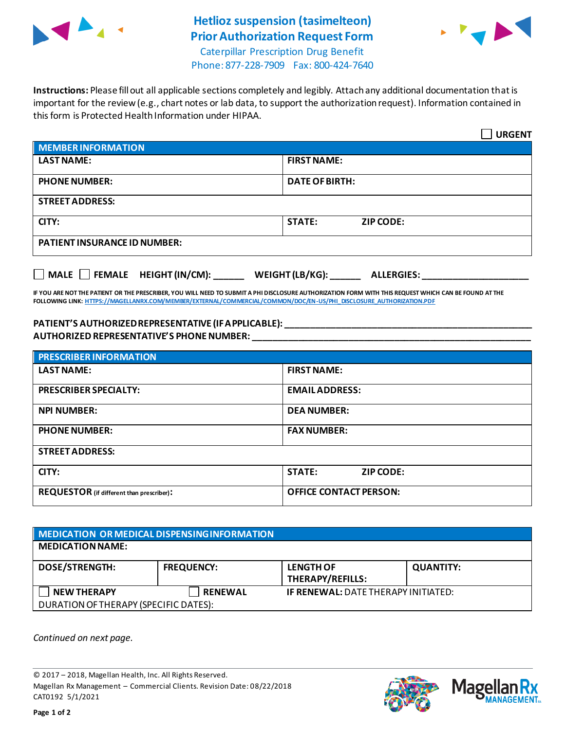

## **Hetlioz suspension (tasimelteon) Prior Authorization Request Form**



Caterpillar Prescription Drug Benefit Phone: 877-228-7909 Fax: 800-424-7640

**Instructions:** Please fill out all applicable sections completely and legibly. Attach any additional documentation that is important for the review (e.g., chart notes or lab data, to support the authorization request). Information contained in this form is Protected Health Information under HIPAA.

|                                                                     | <b>URGENT</b>                     |  |  |
|---------------------------------------------------------------------|-----------------------------------|--|--|
| <b>MEMBER INFORMATION</b>                                           |                                   |  |  |
| <b>LAST NAME:</b>                                                   | <b>FIRST NAME:</b>                |  |  |
| <b>PHONE NUMBER:</b>                                                | <b>DATE OF BIRTH:</b>             |  |  |
| <b>STREET ADDRESS:</b>                                              |                                   |  |  |
| CITY:                                                               | <b>STATE:</b><br><b>ZIP CODE:</b> |  |  |
| <b>PATIENT INSURANCE ID NUMBER:</b>                                 |                                   |  |  |
| MALE FEMALE HEIGHT (IN/CM):<br>WEIGHT (LB/KG):<br><b>ALLERGIES:</b> |                                   |  |  |

**IF YOU ARE NOT THE PATIENT OR THE PRESCRIBER, YOU WILL NEED TO SUBMIT A PHI DISCLOSURE AUTHORIZATION FORM WITH THIS REQUEST WHICH CAN BE FOUND AT THE FOLLOWING LINK[: HTTPS://MAGELLANRX.COM/MEMBER/EXTERNAL/COMMERCIAL/COMMON/DOC/EN-US/PHI\\_DISCLOSURE\\_AUTHORIZATION.PDF](https://magellanrx.com/member/external/commercial/common/doc/en-us/PHI_Disclosure_Authorization.pdf)**

## **PATIENT'S AUTHORIZED REPRESENTATIVE (IF APPLICABLE): \_\_\_\_\_\_\_\_\_\_\_\_\_\_\_\_\_\_\_\_\_\_\_\_\_\_\_\_\_\_\_\_\_\_\_\_\_\_\_\_\_\_\_\_\_\_\_\_\_ AUTHORIZED REPRESENTATIVE'S PHONE NUMBER: \_\_\_\_\_\_\_\_\_\_\_\_\_\_\_\_\_\_\_\_\_\_\_\_\_\_\_\_\_\_\_\_\_\_\_\_\_\_\_\_\_\_\_\_\_\_\_\_\_\_\_\_\_\_\_**

| <b>PRESCRIBER INFORMATION</b>             |                               |  |  |
|-------------------------------------------|-------------------------------|--|--|
| <b>LAST NAME:</b>                         | <b>FIRST NAME:</b>            |  |  |
| <b>PRESCRIBER SPECIALTY:</b>              | <b>EMAIL ADDRESS:</b>         |  |  |
| <b>NPI NUMBER:</b>                        | <b>DEA NUMBER:</b>            |  |  |
| <b>PHONE NUMBER:</b>                      | <b>FAX NUMBER:</b>            |  |  |
| <b>STREET ADDRESS:</b>                    |                               |  |  |
| CITY:                                     | <b>STATE:</b><br>ZIP CODE:    |  |  |
| REQUESTOR (if different than prescriber): | <b>OFFICE CONTACT PERSON:</b> |  |  |

| MEDICATION OR MEDICAL DISPENSING INFORMATION |                   |                                            |                  |  |  |
|----------------------------------------------|-------------------|--------------------------------------------|------------------|--|--|
| <b>MEDICATION NAME:</b>                      |                   |                                            |                  |  |  |
| <b>DOSE/STRENGTH:</b>                        | <b>FREQUENCY:</b> | <b>LENGTH OF</b><br>THERAPY/REFILLS:       | <b>QUANTITY:</b> |  |  |
| <b>NEW THERAPY</b>                           | <b>RENEWAL</b>    | <b>IF RENEWAL: DATE THERAPY INITIATED:</b> |                  |  |  |
| DURATION OF THERAPY (SPECIFIC DATES):        |                   |                                            |                  |  |  |

*Continued on next page.*

© 2017 – 2018, Magellan Health, Inc. All Rights Reserved. Magellan Rx Management – Commercial Clients. Revision Date: 08/22/2018 CAT0192 5/1/2021